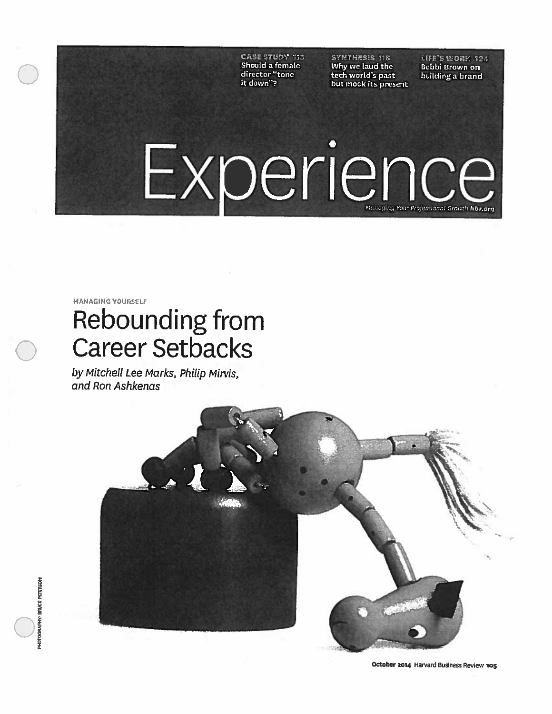CASE STUDY 113 SYNTHESIS 118 LIFE'S WORK 124<br>Should a female Mhy we laud the Bobbi Brown on **CASE STUDY 113** SYNTHESIS 118 LIFE'S WORK 12<br>Should a female Why we laud the Bobbi Brown on<br>director "tone tech world's past building a brand director "tone tech world's past building a brand it down"? but mock its present

# Experience managing Your Professional Growth hbr.org

MANAGING YOURSELF

# Rebounding from Career Setbacks

by Mitchell Lee Marks. Philip Mirvis, and Ron Ashkenas

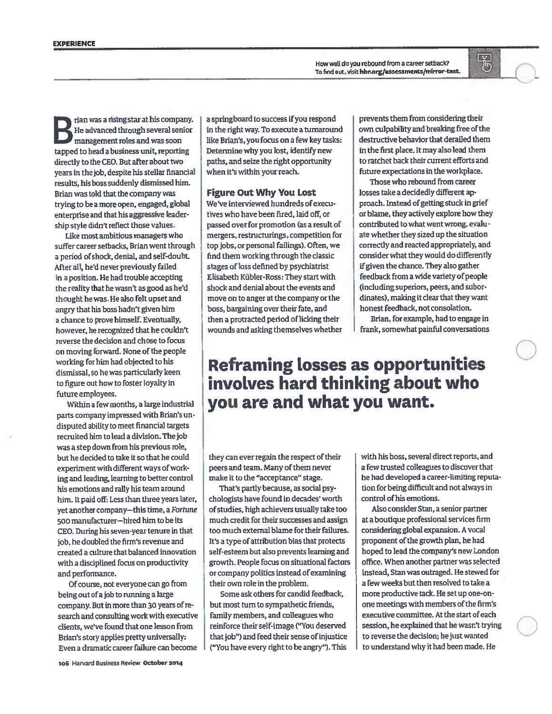Bhan was <sup>a</sup> rising star at his company. He advanced through several senior managemen<sup>t</sup> roles and was soon tapped to head <sup>a</sup> business unit, reporting directly to the CEO. But after about two years in the job, despite his stellar financial results, his boss suddenly dismissed him. Brian was told that the company was trying to be <sup>a</sup> more open, engaged, <sup>g</sup>lobal enterprise and that his aggressive leader ship style didn't reflect those values.

Like most ambitious managers who suffer career setbacks, Brian went through a period ofshock, denial, and self-doubt. After all, he'd never previously failed in <sup>a</sup> position. He had trouble accepting the reality that he wasn't as goo<sup>d</sup> as he'd thought he was. He also felt upse<sup>t</sup> and angry that his boss hadn't <sup>g</sup>iven him a chance to prove himself. Eventually, however, he recognized that he couldn't reverse the decision and chose to focus on moving forward. None ofthe people working for him had objected to his dismissal, so he was particularly keen to figure out how to foster loyalty in future employees.

Within <sup>a</sup> few months, <sup>a</sup> large industrial parts company impressed with Brian's un disputed ability to meet financial targets recruited him to lead <sup>a</sup> division. The job was <sup>a</sup> step down from his previous role, but he decided to take it so that he could experiment with different ways of working and leading, learning to better control his emotions and rally his team around him. It paid off: Less than three years later, ye<sup>t</sup> another company—this time, <sup>a</sup> Fortune 500 manufacturer—hired him to be its CEO. During his seven-year tenure in that job, he doubled the firm's revenue and created <sup>a</sup> culture that balanced innovation with <sup>a</sup> disciplined focus on productivity and performance.

Of course, not everyone can go from being out of a job to running a large company. But in more than <sup>30</sup> years ofre search and consulting work with executive clients, we've found that one lesson from Brian's story applies pretty universally: Even <sup>a</sup> dramatic career failure can become

a springboard to success if you respond in the right way. To execute <sup>a</sup> tumaround like Brian's, you focus on <sup>a</sup> few key tasks: Determine why you lost, identify new paths, and seize the right opportunity when it's within your reach.

# Figure Out Why You Lost

We've interviewed hundreds of execu tives who have been fired, laid off, or passed over for promotion (as <sup>a</sup> result of mergers, restmcturings, competition for top jobs, or personal failings). Often, we find them working through the classic stages ofloss defined by psychiatrist Elisabeth Kübler-Ross: They start with shock and denial about the events and move on to anger at the company or the boss, bargaining over their fate, and then a protracted period of licking their wounds and asking themselves whether

prevents them from considering their own culpability and breaking free of the destructive behavior that derailed them in the first place. It may also lead them to ratchet back their current efforts and ftiture expectations in the workplace.

蜀

 $($ 

 $\bigcirc$ 

 $\bigcirc$ 

Those who rebound from career losses take <sup>a</sup> decidedly different ap proach. Instead ofgetting stuck in grief or blame, they actively explore how they contributed to what went wrong, evalu ate whether they sized up the situation correctly and reacted appropriately, and consider what they would do differently ffgiven the chance. They also gather feedback from <sup>a</sup> wide variety of people (including superiors, peers, and subor dinates), making it dear that they want honest feedback, not consolation.

Brian, for example, had to engage in frank, somewhat painful conversations

# Reframing Losses as opportunities invoLves hard thinking about who you are and what you want.

they can ever regain the respect of their peers and team. Many of them never make it to the "acceptance" stage.

That's partly because, as social psy chologists have found in decades' worth ofstudies, high achievers usually take too much credit for their successes and assign too much external blame for their failures. It's <sup>a</sup> type of attribution bias that protects self-esteem but also prevents learning and growth. People focus on situational factors orcompany politics instead of examining their own role in the problem.

Some ask others for candid feedback, but most turn to sympathetic friends, family members, and colleagues who reinforce their self-image ("You deserved that job") and feed their sense ofinjustice ("You have every right to be angry"). This with his boss, several direct reports, and a few trusted colleagues to discover that he had developed <sup>a</sup> career-limiting reputa tion for being dithcult and not always in control of his emotions

Also consider Stan, <sup>a</sup> senior partner at a boutique professional services firm considering global expansion. A vocal proponent of the growth plan, he had hoped to lead the company's new London othce. When another partner was selected instead, Stan was outraged. He stewed for a few weeks but then resolved to take <sup>a</sup> more productive tack. He setup one-onone meetings with members of the firm's executive committee. At the start of each session, he explained that he wasn't trying to reverse the decision; he just wanted to understand why it had been made. He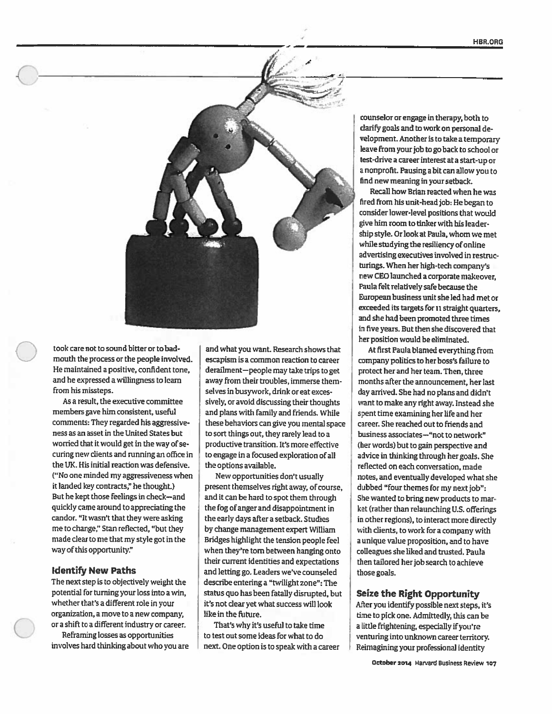

took care not to sound bitter or to badmouth the process or the people involved. He maintained <sup>a</sup> positive, confident tone, and he expressed <sup>a</sup> willingness to learn from his missteps.

As <sup>a</sup> result, the executive committee members gave him consistent, useful comments: They regarded his aggressive ness as an asset in the United States but worried that it would get in the way of securing new clients and running an office in the UK. His initial reaction was defensive. ('No one minded my aggressiveness when it landed key contracts," he thought.) But he kept those feelings in check—and quickly came around to appreciating the candor. "It wasn't that they were asking me to change;' Stan reflected, "but they made clear tome that my style got in the way of this opportunity."

### **Identify New Paths**

The next step is to objectively weight the potential for turning your loss into <sup>a</sup> win, whether that's <sup>a</sup> different role in your organization, <sup>a</sup> move to <sup>a</sup> new company,

or a shift to a different industry or career.<br>Reframing losses as opportunities<br>involves hard thinking about who you are

to sort things out, they rarely lead to <sup>a</sup> productive transition. It's more effective to engage in <sup>a</sup> focused exploration of all the options available. and what you want. Research shows that escapism is <sup>a</sup> common reaction to career derailment—people may take trips to get away from their troubles, immerse them selves in busywork, drink or eat exces sively, or avoid discussing their thoughts and plans with family and friends. While these behaviors can <sup>g</sup>ive you mental space

New opportunities don't usually present themselves right away, of course, and it can be hard to spot them through the fog of anger and disappointment in the early days after <sup>a</sup> setback. Studies by change management expert William Bridges highlight the tension people feel when they're tom between hanging onto their current identities and expectations and letting go. Leaders we've counseled describe entering <sup>a</sup> "twilight zone": The status quo has been fatally disrupted, but it's not dear yet what success will look like in the future.

That's why it's useful to take time to test out some ideas for what to do next. One option is to speak with <sup>a</sup> career

counselor or engage in therapy, both to clarify goals and to work on personal de velopment. Another is to take <sup>a</sup> temporary leave from your job to go back to school or test-drive <sup>a</sup> career interest at <sup>a</sup> stan-up or <sup>a</sup> nonprofit. Pausing <sup>a</sup> bit can allow you to find new meaning in your setback.

Recall how Brian reacted when he was fired from his unit-head job: He began to consider lower-level positions that would give him room to tinker with his leader ship style. Or look at Paula, whom we met while studying the resiliency of online advertising executives involved in restruc turings. When her high-tech company's new CEO launched <sup>a</sup> corporate makeover, Paula felt relatively safe because the Europeanbusiness unit she led had met or exceeded its targets for 11 straight quarters, and she had been promoted three times in five years. But then she discovered that her position would be eliminated.

At first Paula blamed everything from company politics to her boss's failure to protect her and her team. Then, three months after the announcement, her last day arrived. She had no plans and didn't want to make any right away. Instead she spent time examining her life and her career. She reached out to friends and business associates-"not to network" (her words) but to gain perspective and advice in thinking through her goals. She reflected on each conversation, made notes, and eventually developed what she dubbed "four themes for my next job": She wanted to bring new products to mar ket (rather than relaunching U.S. offerings in other regions), to interact more directly with clients, to work for <sup>a</sup> company with <sup>a</sup> unique value proposition, and to have colleagues she liked and trusted. Paula then tailored her job search to achieve those goals.

## Seize the Right Opportunity

After you identify possible next steps, it's time to <sup>p</sup>ick one. Admittedly, this can he a little frightening, especially if you're venturing into unknown career territory. Reimagining your professional identity